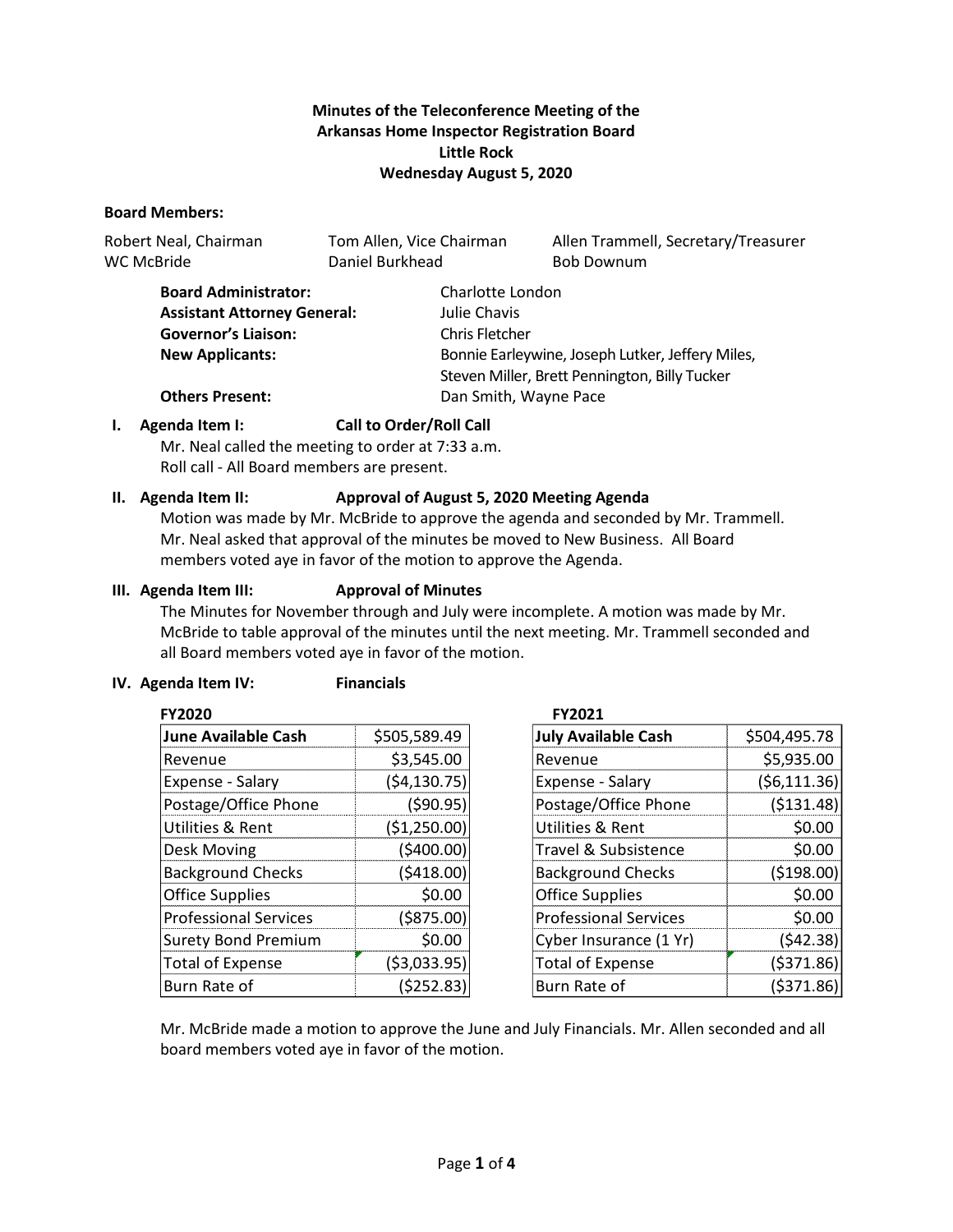# **Minutes of the Teleconference Meeting of the Arkansas Home Inspector Registration Board Little Rock Wednesday August 5, 2020**

#### **Board Members:**

| Robert Neal, Chairman | Tom Allen, Vice Chairman | Allen Trammell, Secretary/Treasurer |
|-----------------------|--------------------------|-------------------------------------|
| WC McBride            | Daniel Burkhead          | <b>Bob Downum</b>                   |

| <b>Board Administrator:</b>        | Charlotte London                                 |  |
|------------------------------------|--------------------------------------------------|--|
| <b>Assistant Attorney General:</b> | Julie Chavis                                     |  |
| <b>Governor's Liaison:</b>         | Chris Fletcher                                   |  |
| <b>New Applicants:</b>             | Bonnie Earleywine, Joseph Lutker, Jeffery Miles, |  |
|                                    | Steven Miller, Brett Pennington, Billy Tucker    |  |
| <b>Others Present:</b>             | Dan Smith, Wayne Pace                            |  |

# **I. Agenda Item I: Call to Order/Roll Call**

Mr. Neal called the meeting to order at 7:33 a.m. Roll call - All Board members are present.

# **II. Agenda Item II: Approval of August 5, 2020 Meeting Agenda**

Motion was made by Mr. McBride to approve the agenda and seconded by Mr. Trammell. Mr. Neal asked that approval of the minutes be moved to New Business. All Board members voted aye in favor of the motion to approve the Agenda.

# **III. Agenda Item III: Approval of Minutes**

The Minutes for November through and July were incomplete. A motion was made by Mr. McBride to table approval of the minutes until the next meeting. Mr. Trammell seconded and all Board members voted aye in favor of the motion.

# **IV. Agenda Item IV: Financials**

| <b>FY2020</b>                |               | FY2021            |
|------------------------------|---------------|-------------------|
| <b>June Available Cash</b>   | \$505,589.49  | <b>July Avail</b> |
| Revenue                      | \$3,545.00    | Revenue           |
| Expense - Salary             | (54, 130.75)  | Expense -         |
| Postage/Office Phone         | (590.95)      | Postage/          |
| Utilities & Rent             | (\$1,250.00)  | Utilities 8       |
| Desk Moving                  | (\$400.00)    | Travel & S        |
| <b>Background Checks</b>     | (5418.00)     | Backgrou          |
| <b>Office Supplies</b>       | \$0.00        | Office Sup        |
| <b>Professional Services</b> | ( \$875.00)   | Professio         |
| <b>Surety Bond Premium</b>   | \$0.00        | Cyber Ins         |
| <b>Total of Expense</b>      | ( \$3,033.95) | Total of E        |
| Burn Rate of                 | (\$252.83)    | <b>Burn Rate</b>  |

| <b>July Available Cash</b>   | \$504,495.78 |
|------------------------------|--------------|
| Revenue                      | \$5,935.00   |
| Expense - Salary             | (56, 111.36) |
| Postage/Office Phone         | ( \$131.48)  |
| Utilities & Rent             | \$0.00       |
| Travel & Subsistence         | \$0.00       |
| <b>Background Checks</b>     | ( \$198.00)  |
| <b>Office Supplies</b>       | \$0.00       |
| <b>Professional Services</b> | \$0.00       |
| Cyber Insurance (1 Yr)       | (542.38)     |
| <b>Total of Expense</b>      | (5371.86)    |
| Burn Rate of                 | ( \$371.86   |

Mr. McBride made a motion to approve the June and July Financials. Mr. Allen seconded and all board members voted aye in favor of the motion.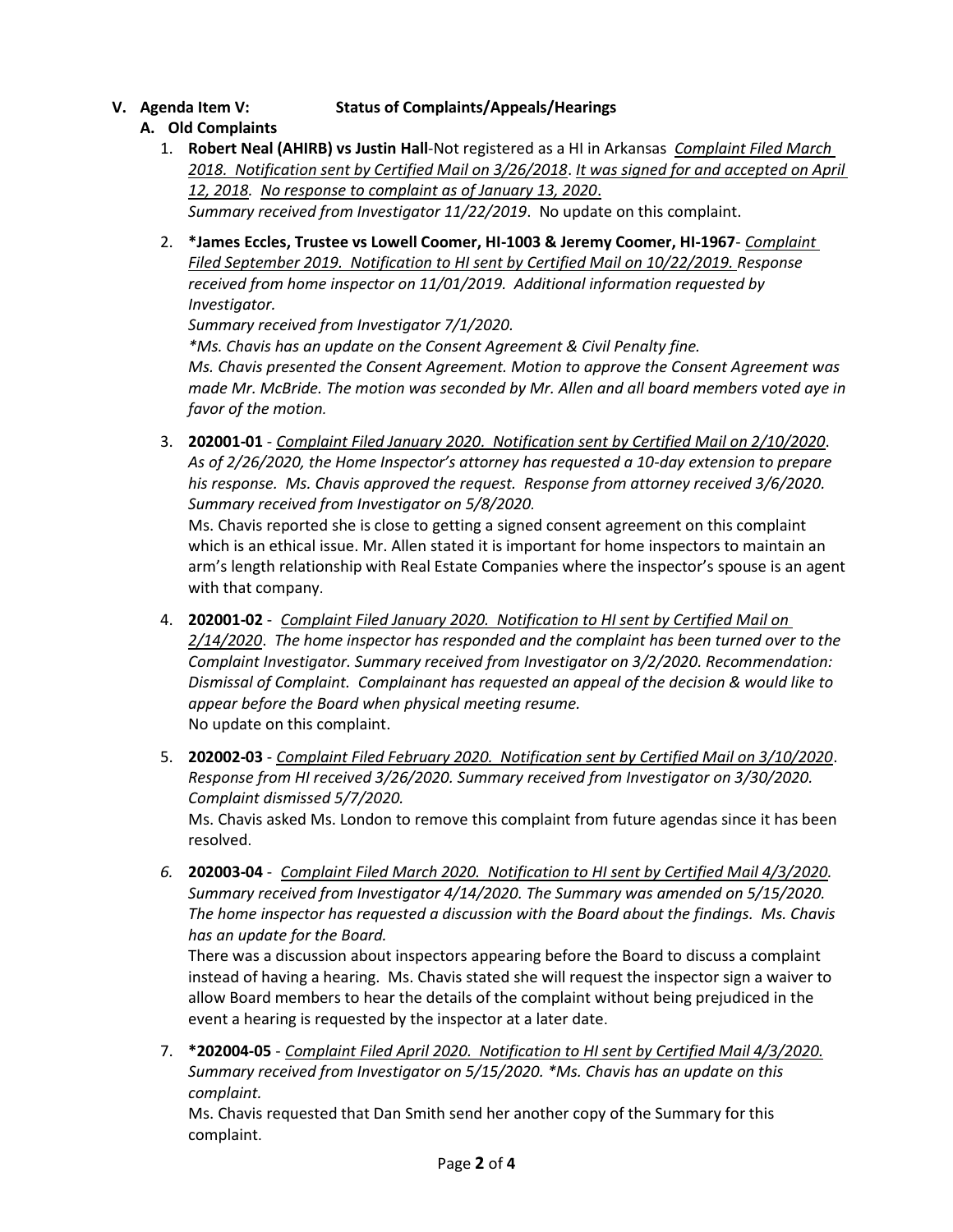**V. Agenda Item V: Status of Complaints/Appeals/Hearings**

# **A. Old Complaints**

- 1. **Robert Neal (AHIRB) vs Justin Hall**-Not registered as a HI in Arkansas *Complaint Filed March 2018. Notification sent by Certified Mail on 3/26/2018*. *It was signed for and accepted on April 12, 2018. No response to complaint as of January 13, 2020*. *Summary received from Investigator 11/22/2019*. No update on this complaint.
- 2. **\*James Eccles, Trustee vs Lowell Coomer, HI-1003 & Jeremy Coomer, HI-1967** *Complaint Filed September 2019. Notification to HI sent by Certified Mail on 10/22/2019. Response received from home inspector on 11/01/2019. Additional information requested by Investigator.*

*Summary received from Investigator 7/1/2020.* 

*\*Ms. Chavis has an update on the Consent Agreement & Civil Penalty fine.*

*Ms. Chavis presented the Consent Agreement. Motion to approve the Consent Agreement was made Mr. McBride. The motion was seconded by Mr. Allen and all board members voted aye in favor of the motion.*

3. **202001-01** - *Complaint Filed January 2020. Notification sent by Certified Mail on 2/10/2020*. *As of 2/26/2020, the Home Inspector's attorney has requested a 10-day extension to prepare his response. Ms. Chavis approved the request. Response from attorney received 3/6/2020. Summary received from Investigator on 5/8/2020.*

Ms. Chavis reported she is close to getting a signed consent agreement on this complaint which is an ethical issue. Mr. Allen stated it is important for home inspectors to maintain an arm's length relationship with Real Estate Companies where the inspector's spouse is an agent with that company.

- 4. **202001-02** *Complaint Filed January 2020. Notification to HI sent by Certified Mail on 2/14/2020*. *The home inspector has responded and the complaint has been turned over to the Complaint Investigator. Summary received from Investigator on 3/2/2020. Recommendation: Dismissal of Complaint. Complainant has requested an appeal of the decision & would like to appear before the Board when physical meeting resume.* No update on this complaint.
- 5. **202002-03** *Complaint Filed February 2020. Notification sent by Certified Mail on 3/10/2020*. *Response from HI received 3/26/2020. Summary received from Investigator on 3/30/2020. Complaint dismissed 5/7/2020.* Ms. Chavis asked Ms. London to remove this complaint from future agendas since it has been resolved.
- *6.* **202003-04** *Complaint Filed March 2020. Notification to HI sent by Certified Mail 4/3/2020. Summary received from Investigator 4/14/2020. The Summary was amended on 5/15/2020. The home inspector has requested a discussion with the Board about the findings. Ms. Chavis has an update for the Board.*

There was a discussion about inspectors appearing before the Board to discuss a complaint instead of having a hearing. Ms. Chavis stated she will request the inspector sign a waiver to allow Board members to hear the details of the complaint without being prejudiced in the event a hearing is requested by the inspector at a later date.

7. **\*202004-05** - *Complaint Filed April 2020. Notification to HI sent by Certified Mail 4/3/2020. Summary received from Investigator on 5/15/2020. \*Ms. Chavis has an update on this complaint.*

Ms. Chavis requested that Dan Smith send her another copy of the Summary for this complaint.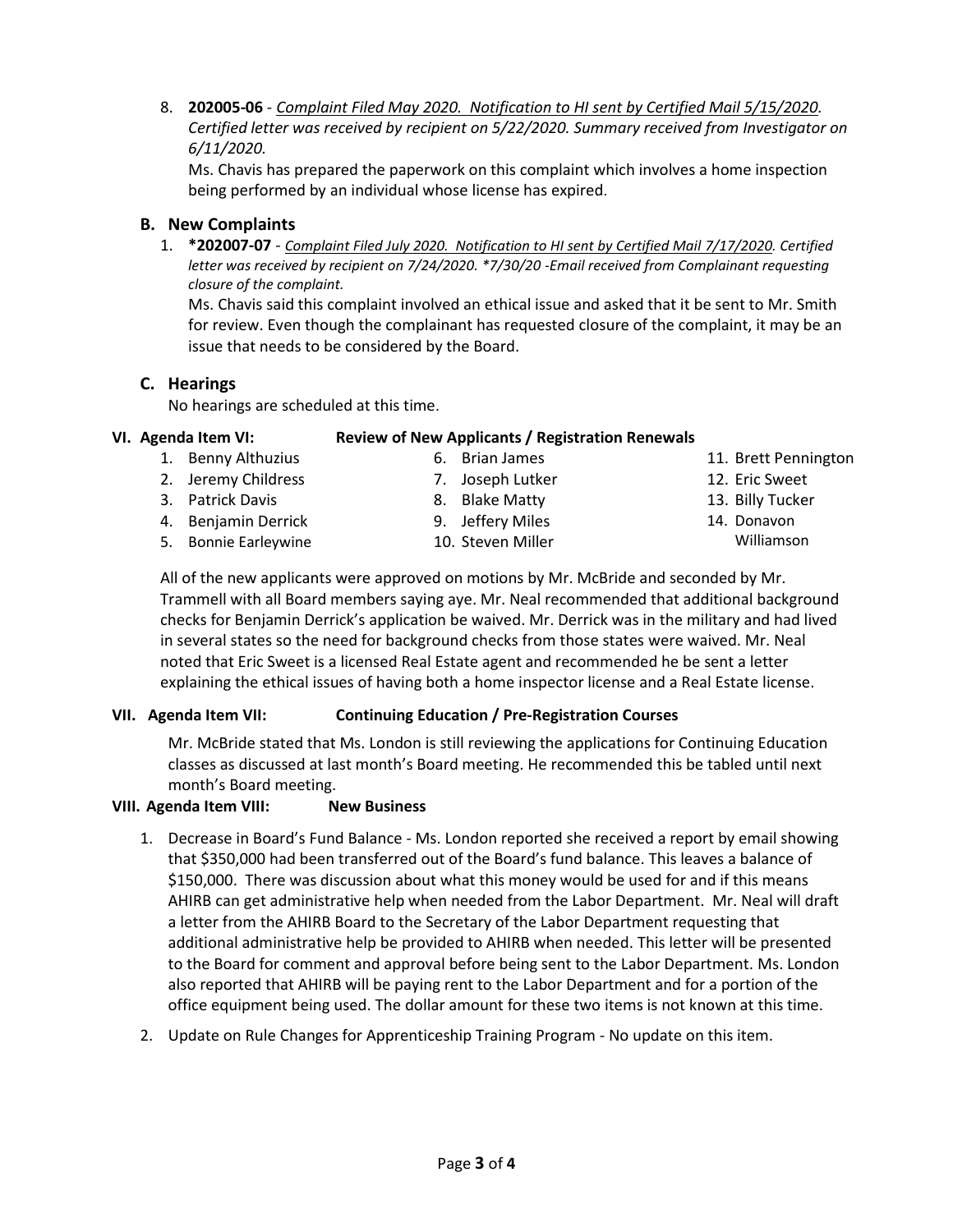8. **202005-06** - *Complaint Filed May 2020. Notification to HI sent by Certified Mail 5/15/2020. Certified letter was received by recipient on 5/22/2020. Summary received from Investigator on 6/11/2020.*

Ms. Chavis has prepared the paperwork on this complaint which involves a home inspection being performed by an individual whose license has expired.

# **B. New Complaints**

1. **\*202007-07** - *Complaint Filed July 2020. Notification to HI sent by Certified Mail 7/17/2020. Certified letter was received by recipient on 7/24/2020. \*7/30/20 -Email received from Complainant requesting closure of the complaint.*

Ms. Chavis said this complaint involved an ethical issue and asked that it be sent to Mr. Smith for review. Even though the complainant has requested closure of the complaint, it may be an issue that needs to be considered by the Board.

# **C. Hearings**

No hearings are scheduled at this time.

#### **VI. Agenda Item VI: Review of New Applicants / Registration Renewals**

- 1. Benny Althuzius
- 2. Jeremy Childress
- 3. Patrick Davis
- 4. Benjamin Derrick
- 5. Bonnie Earleywine
- 8. Blake Matty 9. Jeffery Miles

6. Brian James 7. Joseph Lutker

- 
- 10. Steven Miller
- 11. Brett Pennington
- 12. Eric Sweet
- 13. Billy Tucker
- 14. Donavon
	- Williamson

All of the new applicants were approved on motions by Mr. McBride and seconded by Mr. Trammell with all Board members saying aye. Mr. Neal recommended that additional background checks for Benjamin Derrick's application be waived. Mr. Derrick was in the military and had lived in several states so the need for background checks from those states were waived. Mr. Neal noted that Eric Sweet is a licensed Real Estate agent and recommended he be sent a letter explaining the ethical issues of having both a home inspector license and a Real Estate license.

# **VII. Agenda Item VII: Continuing Education / Pre-Registration Courses**

Mr. McBride stated that Ms. London is still reviewing the applications for Continuing Education classes as discussed at last month's Board meeting. He recommended this be tabled until next month's Board meeting.

# **VIII. Agenda Item VIII: New Business**

- 1. Decrease in Board's Fund Balance Ms. London reported she received a report by email showing that \$350,000 had been transferred out of the Board's fund balance. This leaves a balance of \$150,000. There was discussion about what this money would be used for and if this means AHIRB can get administrative help when needed from the Labor Department. Mr. Neal will draft a letter from the AHIRB Board to the Secretary of the Labor Department requesting that additional administrative help be provided to AHIRB when needed. This letter will be presented to the Board for comment and approval before being sent to the Labor Department. Ms. London also reported that AHIRB will be paying rent to the Labor Department and for a portion of the office equipment being used. The dollar amount for these two items is not known at this time.
- 2. Update on Rule Changes for Apprenticeship Training Program No update on this item.